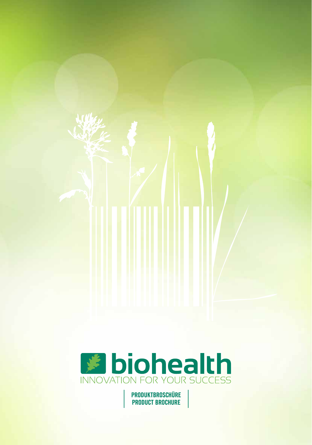

**PRODUKTBROSCHÜRE PRODUCT BROCHURE**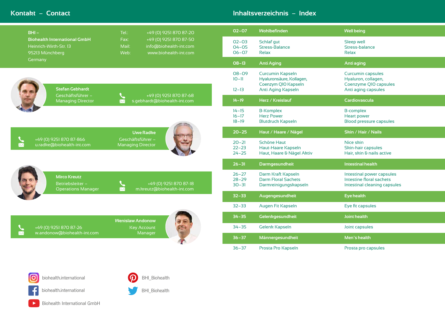## **02-07 [Wohlbefinden](#page-2-0) [Well being](#page-2-0)**

Sleep well<br>Stress-balance<br>Relax

### **08-13 [Anti Aging](#page-5-0) [Anti aging](#page-5-0)**

Curcumin capsules Hyaluron, collagen, Coenzyme Q10 capsules Anti aging capsules

### **14-19 Herz** / **[Kreislauf](#page-8-0) [Cardiovascula](#page-8-0)**

B-complex<br>Heart power Blood pressure capsules

## **20-25 Haut** / **[Haare](#page-11-0)** / **Nägel Skin** / **Hair** / **[Nails](#page-11-0)**

Nice skin<br>Skin-hair capsules Hair, skin & nails active

### **26-31 Darmgesundheit Intestinal health**

Intestinal power capsules Intestine floral sachets Intestinal cleaning capsules

### $E$ **ye health**

Eye fit capsules

| $BHI -$                                                                          | +49 (0) 9251 870 87-20<br>Tel.:                                                                    | $02 - 07$                           | Wohlbefinden                                                                                     | <b>Well being</b>                                         |
|----------------------------------------------------------------------------------|----------------------------------------------------------------------------------------------------|-------------------------------------|--------------------------------------------------------------------------------------------------|-----------------------------------------------------------|
| <b>Biohealth International GmbH</b><br>Heinrich-Wirth-Str. 13<br>95213 Münchberg | +49 (0) 9251 870 87-50<br>Fax:<br>Mail:<br>info@biohealth-int.com<br>Web:<br>www.biohealth-int.com | $O2 - O3$<br>$O4 - O5$<br>$06 - 07$ | Schlaf gut<br><b>Stress-Balance</b><br><b>Relax</b>                                              | <b>Sleep well</b><br>Stress-bala<br>Relax                 |
| Germany                                                                          |                                                                                                    | $08 - 13$                           | <b>Anti Aging</b>                                                                                | Anti aging                                                |
| <b>Stefan Gebhardt</b>                                                           |                                                                                                    | 08-09<br>$10 - 11$<br>$12 - 13$     | <b>Curcumin Kapseln</b><br>Hyaluronsäure, Kollagen,<br>Coenzym Q10 Kapseln<br>Anti Aging Kapseln | <b>Curcumin</b><br>Hyaluron,<br>Coenzyme<br>Anti aging    |
| Geschäftsführer -<br><b>Managing Director</b>                                    | +49 (0) 9251 870 87-68<br>s.gebhardt@biohealth-int.com<br>$\boxtimes$                              | $14 - 19$                           | Herz / Kreislauf                                                                                 | <b>Cardiovas</b>                                          |
|                                                                                  |                                                                                                    | $14 - 15$<br>$16 - 17$<br>$18 - 19$ | <b>B-Komplex</b><br><b>Herz Power</b><br><b>Blutdruck Kapseln</b>                                | <b>B-complex</b><br><b>Heart pow</b><br><b>Blood pres</b> |
|                                                                                  | <b>Uwe Radke</b>                                                                                   | $20 - 25$                           | Haut / Haare / Nägel                                                                             | Skin / Hai                                                |
| +49 (0) 9251 870 87-866<br>$\boldsymbol{\times}$<br>u.radke@biohealth-int.com    | Geschäftsführer -<br><b>Managing Director</b>                                                      | $20 - 21$<br>$22 - 23$<br>$24 - 25$ | <b>Schöne Haut</b><br>Haut-Haare Kapseln<br>Haut, Haare & Nägel Aktiv                            | Nice skin<br>Skin-hair o<br>Hair, skin &                  |
|                                                                                  |                                                                                                    | $26 - 31$                           | <b>Darmgesundheit</b>                                                                            | Intestinal h                                              |
| <b>Mirco Kreutz</b><br>Betriebsleiter -<br><b>Operations Manager</b>             | +49 (0) 9251 870 87-18<br>m.kreutz@biohealth-int.com                                               | $26 - 27$<br>$28 - 29$<br>$30 - 31$ | Darm Kraft Kapseln<br><b>Darm Floral Sachets</b><br>Darmreinigungskapseln                        | Intestinal p<br>Intestine fl<br>Intestinal                |
|                                                                                  |                                                                                                    | $32 - 33$                           | Augengesundheit                                                                                  | <b>Eye health</b>                                         |
|                                                                                  |                                                                                                    | $32 - 33$                           | Augen Fit Kapseln                                                                                | Eye fit cap                                               |
|                                                                                  | <b>Wenislaw Andonow</b><br>96                                                                      | $34 - 35$                           | Gelenkgesundheit                                                                                 | Joint healtl                                              |
| +49 (0) 9251 870 87-26<br>w.andonow@biohealth-int.com<br>$\bm{\times}$           | <b>Key Account</b><br>Manager                                                                      | $34 - 35$                           | <b>Gelenk Kapseln</b>                                                                            | Joint capsu                                               |
|                                                                                  |                                                                                                    | $36 - 37$                           | Männergesundheit                                                                                 | Men's hea                                                 |
|                                                                                  |                                                                                                    | $36 - 37$                           | Prosta Pro Kapseln                                                                               | Prosta pro                                                |
| <b>O</b><br>biohealth.international<br>biohealth.international                   | <b>BHI_Biohealth</b><br><b>BHI_Biohealth</b>                                                       |                                     |                                                                                                  |                                                           |
| Biohealth International GmbH                                                     |                                                                                                    |                                     |                                                                                                  |                                                           |

**34-35 Gelenkgesundheit Joint health**

Joint capsules

**36-37 Männergesundheit Men's health**

Prosta pro capsules

# **Kontakt** - **Contact Inhaltsverzeichnis** - **Index**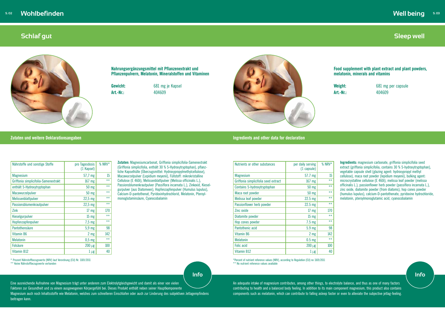#### **Zutaten und weitere Deklarationsangaben Ingredients and other data for declaration**

## <span id="page-2-0"></span>**Schlaf gut**



**Nahrungsergänzungsmittel mit Pflanzenextrakt und Pflanzenpulvern, Melatonin, Mineralstoffen und Vitaminen** 

**Gewicht:** 681 mg je Kapsel **Art.-Nr.:** 404609



**Zutaten:** Magnesiumcarbonat, Griffonia simplicifolia-Samenextrakt (Griffonia simplicifolia, enthält 30 % 5-Hydroxytryptophan), pflanzliche Kapselhülle (Überzugsmittel: Hydroxypropylmethylcellulose), Macawurzelpulver (Lepidium meyenii), Füllstoff: mikrokristalline Cellulose (E 460i), Melissenblattpulver (Melissa officinalis L.), Passionsblumenkrautpulver (Passiflora incarnata L.), Zinkoxid, Kieselgurpulver (aus Diatomeen), Hopfenzapfenpulver (Humulus lupulus), Calcium-D-pantothenat, Pyridoxinhydrochlorid, Melatonin, Pteroylmonoglutaminsäure, Cyanocobalamin

| Nährstoffe und sonstige Stoffe       | pro Tagesdosis<br>(1 Kapsel) | % NRV $*$ |
|--------------------------------------|------------------------------|-----------|
| <b>Magnesium</b>                     | 57,7 mg                      | 15        |
| Griffonia simplicifolia-Samenextrakt | 167 mg                       | $***$     |
| enthält 5-Hydroxytryptophan          | 50 mg                        | $***$     |
| <b>Macawurzelpulver</b>              | 50 mg                        | $***$     |
| Melissenblattpulver                  | $22,5$ mg                    | $***$     |
| Passionsblumenkrautpulver            | $22,5$ mg                    | $***$     |
| Zink                                 | 17 <sub>mg</sub>             | 170       |
| Kieselgurpulver                      | $15 \text{ mg}$              | $***$     |
| Hopfenzapfenpulver                   | $7,5$ mg                     | $***$     |
| Pantothensäure                       | 5.9 <sub>mg</sub>            | 98        |
| <b>Vitamin B6</b>                    | 2 mg                         | 142       |
| <b>Melatonin</b>                     | $0,5$ mg                     | $***$     |
| <b>Folsäure</b>                      | $200 \mu g$                  | 100       |
| <b>Vitamin B12</b>                   | $1 \mu$ g                    | 40        |

Eine ausreichende Aufnahme von Magnesium trägt unter anderem zum Elektrolytgleichgewicht und damit als einer von vielen Faktoren zur Gesundheit und zu einem ausgewogenen Körpergefühl bei. Dieses Produkt enthält neben seiner Hauptkomponente Magnesium auch noch Inhaltsstoffe wie Melatonin, welches zum schnelleren Einschlafen oder auch zur Linderung des subjektiven Jetlagempfindens beitragen kann.

Nutrients or other substances **per daily serving** (1 capsule) % NRV\* Magnesium 15 Griffonia simplicifolia seed extract 167 mg \*\* Contains 5-hydroxytryptophan 50 mg \*\* Maca root powder 50 mg \*\*<br>Molissa loaf powder 22.5 mg \*\* Melissa leaf powder and the set of the 22.5 mg Passionflower herb powder 22.5 mg Zinc oxide 17 mg 170 Diatomite powder 15 mg  $**$ 

\*Percent of nutrient reference values (NRV), according to Regulation (EU) no 1169/2011 \*\* No nutrient reference values available

\* Prozent Nährstoffbezugswerte (NRV) laut Verordnung (EU) Nr. 1169/2011

\*\* Keine Nährstoffbezugswerte vorhanden

### **Food supplement with plant extract and plant powders, melatonin, minerals and vitamins**

**Weight:** 681 mg per capsule **Art.-Nr.:** 404609

**Ingredients:** magnesium carbonate, griffonia simplicifolia seed extract (griffonia simplicifolia, contains 30 % 5-hydroxytryptophan), vegetable capsule shell (glazing agent: hydroxypropyl methyl cellulose), maca root powder (lepidium meyenii), bulking agent: microcrystalline cellulose (E 460i), melissa leaf powder (melissa officinalis L.), passionflower herb powder (passiflora incarnata L.), zinc oxide, diatomite powder (from diatoms), hop cones powder (humulus lupulus), calcium-D-pantothenate, pyridoxine hydrochloride, melatonin, pteroylmonoglutamic acid, cyanocobalamin

| Hop cones powder  | $7.5 \text{ mg}$  | $***$        |
|-------------------|-------------------|--------------|
| Pantothenic acid  | 5.9 <sub>mg</sub> | 98           |
| Vitamin B6        | 2 <sub>mg</sub>   | 142          |
| <b>Melatonin</b>  | 0.5 <sub>mg</sub> | $\star\star$ |
| <b>Folic acid</b> | $200 \mu g$       | 100          |
| Vitamin B12       | $\mu$ g           | 40           |

An adequate intake of magnesium contributes, among other things, to electrolyte balance, and thus as one of many factors contributing to health and a balanced body feeling. In addition to its main component magnesium, this product also contains components such as melatonin, which can contribute to falling asleep faster or even to alleviate the subjective jetlag-feeling.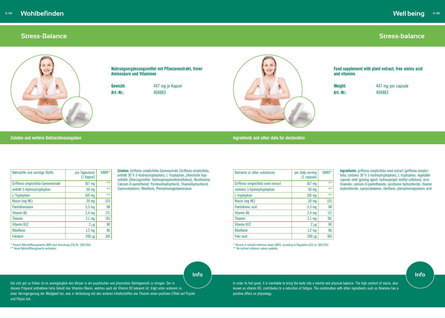

## <span id="page-3-0"></span>**Stress-Balance**



**Nahrungsergänzungsmittel mit Pflanzenextrakt, freier Aminosäure und Vitaminen** 

**Gewicht:** 447 mg je Kapsel

**Art.-Nr.:** 404883



### **Zutaten und weitere Deklarationsangaben Ingredients and other data for declaration**

**Zutaten:** Griffonia simplicifolia-Samenextrakt (Griffonia simplicifolia, enthält 30 % 5-Hydroxytryptophan), L-Tryptophan, pflanzliche Kapselhülle (Überzugsmittel: Hydroxypropylmethylcellulose), Nicotinamid, Calcium-D-pantothenat, Pyridoxinhydrochlorid, Thiaminhydrochlorid, Cyanocobalamin, Riboflavin, Pteroylmonoglutaminsäure

| Nährstoffe und sonstige Stoffe       | pro Tagesdosis<br>(1 Kapsel) | %NRV* |
|--------------------------------------|------------------------------|-------|
| Griffonia simplicifolia-Samenextrakt | 167 mg                       | $***$ |
| enthält 5-Hydroxytryptophan          | 50 mg                        | $***$ |
| L-Tryptophan                         | 150 mg                       | $**$  |
| Niacin (mg NE)                       | $20$ mg                      | 125   |
| Pantothensäure                       | $5,3$ mg                     | 88    |
| Vitamin B6                           | $2,4$ mg                     | 171   |
| <b>Thiamin</b>                       | $2,1$ mg                     | 191   |
| <b>Vitamin B12</b>                   | $2 \mu g$                    | 80    |
| <b>Riboflavin</b>                    | $1,2$ mg                     | 86    |
| <b>Folsäure</b>                      | $200 \mu g$                  | 100   |

\* Percent of nutrient reference values (NRV), according to Regulation (EU) no 1169/2011 \*\* No nutrient reference values available

\* Prozent Nährstoffbezugswerte (NRV) laut Verordnung (EU) Nr. 1169/2011 \*\* Keine Nährstoffbezugswerte vorhanden

**Stress-balance**

**Food supplement with plant extract, free amino acid and vitamins**

**Weight:** 447 mg per capsule **Art.-Nr.:** 404883

**Ingredients:** griffonia simplicifolia seed extract (griffonia simplicifolia, contains 30 % 5-hydroxytryptophan), L-tryptophan, vegetable capsule shell (glazing agent: hydroxypropyl methyl cellulose), nicotinamide, calcium-D-pantothenate, pyridoxine hydrochloride, thiamin hydrochloride, cyanocobalamin, riboflavin, pteroylmonoglutamic acid

| Nutrients or other substances        | per daily serving<br>$(1 \text{ capsule})$ | %NRV* |
|--------------------------------------|--------------------------------------------|-------|
| Griffonia simplicifolia seed extract | 167 mg                                     | $**$  |
| contains 5-hydroxytryptophan         | 50 mg                                      | $**$  |
| L-tryptophan                         | 150 mg                                     | $**$  |
| Niacin (mg NE)                       | $20$ mg                                    | 125   |
| Pantothenic acid                     | 5.3 mg                                     | 88    |
| Vitamin B6                           | 2.4 <sub>mg</sub>                          | 171   |
| <b>Thiamin</b>                       | 2.1 <sub>mg</sub>                          | 191   |
| Vitamin B12                          | $2 \mu g$                                  | 80    |
| <b>Riboflavin</b>                    | 1.2 <sub>mg</sub>                          | 86    |
| <b>Folic acid</b>                    | $200 \mu g$                                | 100   |

Um sich gut zu fühlen ist es unumgänglich den Körper in ein psychisches und physisches Gleichgewicht zu bringen. Der in diesem Präparat enthaltene hohe Gehalt des Vitamins Niacin, welches auch als Vitamin B3 bekannt ist, trägt unter anderem zu einer Verringergerung der Müdigkeit bei, was in Verbindung mit den anderen Inhaltsstoffen wie Thiamin einen positiven Effekt auf Psyche und Physis hat.

In order to feel good, it is inevitable to bring the body into a mental and physical balance. The high content of niacin, also known as vitamin B3, contributes to a reduction of fatigue. The combination with other ingredients such as thiamine has a positive effect on physiology.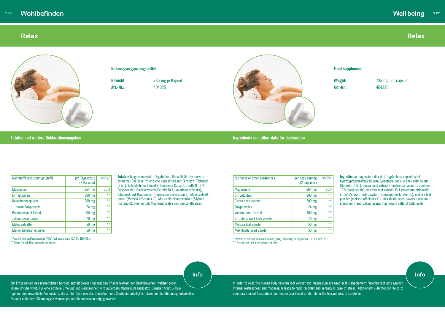

#### **Zutaten und weitere Deklarationsangaben Ingredients and other data for declaration**

## <span id="page-4-0"></span>**Relax**



#### **Nahrungsergänzungsmittel**

**Gewicht:** 735 mg je Kapsel



**Art.-Nr.:** 404325

**Zutaten:** Magnesiumoxid, L-Tryptophan, Kapselhülle: Hydroxypropylmethyl-Cellulose (pflanzliche Kapselhülle mit Farbstoff: Titanoxid (E171), Kakaobohnen Extrakt (Theobroma Cacao L., enthält 12 % Polyphenole), Baldrianwurzel-Extrakt 10:1 (Valeriana officialis), Johanniskraut-Krautpulver (Hypericum perforatum L), Melissenblattpulver (Melissa officinalis L.), Mariendistelsamenpulver (Silybum marianum), Trennmittel: Magnesiumsalze von Speisefettsäuren

**Weight:** 735 mg per capsule **Art.-Nr.:** 404325

| Nährstoffe und sonstige Stoffe | pro Tagesdosis<br>(2 Kapseln) | %NRV* |
|--------------------------------|-------------------------------|-------|
| <b>Magnesium</b>               | 264 mg                        | 70,4  |
| L-Tryptophan                   | 300 mg                        | $***$ |
| Kakaobohnenpulver              | 200 mg                        | $***$ |
| - davon Polyphenole            | $24$ mg                       | $***$ |
| <b>Baldrianwurzel-Extrakt</b>  | 100 mg                        | $***$ |
| Johanniskrautpulver            | 70 mg                         | $***$ |
| Melissenblätter                | 50 mg                         | $***$ |
| Mariendistelsamenpulver        | $50$ mg                       | $***$ |

\* Prozent Nährstoffbezugswerte (NRV) laut Verordnung (EU) Nr. 1169/2011

\*\* Keine Nährstoffbezugswerte vorhanden

# **Relax**

# **Well being**

#### **Food supplement**

Zur Entspannung des menschlichen Körpers enthält dieses Präparat den Pflanzenextrakt der Baldrianwurzel, welcher gegen innere Unruhe wirkt. Für eine schnelle Erholung und Gelassenheit wird außerdem Magnesium zugesetzt. Daneben trägt L-Tryptophan, eine essentielle Aminosäure, die an der Synthese des Glückshormons Serotonin beteiligt ist, dazu bei, die Stimmung aufzuhellen. Es kann außerdem Stimmungsschwankungen und Depressionen entgegenwirken.

**Ingredients:** magnesium dioxid, L-tryptophan, capsule shell: hydroxypropylmethylcellulose (vegetable capsule shell with colour: titanoxid (E171), cocoa seed extract (theobroma cacao L., contains 12 % polyphenols), valerian root extract 10:1 (valeriana officinalis), st. john's-wort herb powder (hypericum perforatum L), melissa leaf powder (melissa officinalis L.), milk thistle seed powder (silybum marianum), anti-caking agent: magnesium salts of fatty acids

| Nutrients or other substances | per daily serving<br>(2 capsules) | %NRV* |
|-------------------------------|-----------------------------------|-------|
| <b>Magnesium</b>              | 264 mg                            | 70.4  |
| L-tryptophan                  | 300 mg                            | $***$ |
| Cacao seed extract            | 200 mg                            | $***$ |
| Polyphenoles                  | $24$ mg                           | $***$ |
| Valerian root extract         | $100$ mg                          | $***$ |
| St. John's-wort herb powder   | 70 mg                             | $***$ |
| Melissa leaf powder           | 50 mg                             | $***$ |
| Milk thistle seed powder      | 50 mg                             | $***$ |

\* Percent of nutrient reference values (NRV), according to Regulation (EU) no 1169/2011 \*\* No nutrient reference values available

In order to relax the human body valerian root extract and magnesium are used in this supplement. Valerian root acts against internal restlessness and magnesium leads to rapid recovery and serenity in case of stress. Additionally L-Tryptophan helps to counteract mood fluctuations and depression based on its role in the biosynthesis of serotonin.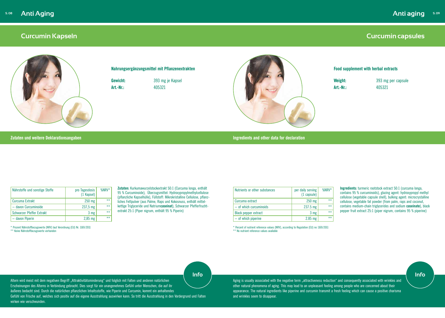#### **Zutaten und weitere Deklarationsangaben Ingredients and other data for declaration**

## <span id="page-5-0"></span>**Curcumin Kapseln**



**Zutaten:** Kurkumawurzelstockextrakt 50:1 (Curcuma longa, enthält 95 % Curcuminoide), Überzugsmittel: Hydroxypropylmethylcellulose (pflanzliche Kapselhülle), Füllstoff: Mikrokristalline Cellulose, pflanzliches Fettpulver (aus Palme, Raps und Kokosnuss, enthält mittelkettige Triglyceride und Natrium**caseinat**), Schwarzer Pfefferfruchtextrakt 25:1 (Piper nigrum, enthält 95 % Piperin)

| Nährstoffe und sonstige Stoffe | pro Tagesdosis<br>(1 Kapsel) | %NRV* |
|--------------------------------|------------------------------|-------|
| Curcuma Extrakt                | $250$ mg                     | $***$ |
| - davon Curcuminoide           | $237,5 \, \text{mg}$         | $***$ |
| Schwarzer Pfeffer Extrakt      | 3 mg                         | $***$ |
| - davon Piperin                | $2,85$ mg                    | $***$ |

\* Prozent Nährstoffbezugswerte (NRV) laut Verordnung (EU) Nr. 1169/2011 \*\* Keine Nährstoffbezugswerte vorhanden

**Nahrungsergänzungsmittel mit Pflanzenextrakten**

**Gewicht:** 393 mg je Kapsel **Art.-Nr.:** 405321

## **Curcumin capsules**

#### **Food supplement with herbal extracts**

**Weight:** 393 mg per capsule **Art.-Nr.:** 405321

Altern wird meist mit dem negativen Begriff "Attraktivitätsminderung" und folglich mit Falten und anderen natürlichen Erscheinungen des Alterns in Verbindung gebracht. Dies sorgt für ein unangenehmes Gefühl unter Menschen, die auf ihr äußeres bedacht sind. Durch die natürlichen pflanzlichen Inhaltsstoffe, wie Piperin und Curcumin, kommt ein anhaltendes Gefühl von Frische auf, welches sich positiv auf die eigene Ausstrahlung auswirken kann. So tritt die Ausstrahlung in den Vordergrund und Falten wirken wie verschwunden.

**Ingredients:** turmeric rootstock extract 50:1 (curcuma longa, contains 95 % curcuminoids), glazing agent: hydroxypropyl methyl cellulose (vegetable capsule shell), bulking agent: microcrystalline cellulose, vegetable fat powder (from palm, raps and coconut, contains medium-chain triglycerides and sodium **caseinate**), black pepper fruit extract 25:1 (piper nigrum, contains 95 % piperine)

Aging is usually associated with the negative term "attractiveness reduction" and consequently associated with wrinkles and other natural phenomena of aging. This may lead to an unpleasant feeling among people who are concerned about their appearance. The natural ingredients like piperine and curcumin transmit a fresh feeling which can cause a positive charisma and wrinkles seem to disappear.

| Nutrients or other substances | per daily serving<br>$(1 \text{ capsule})$ | %NRV* |
|-------------------------------|--------------------------------------------|-------|
| Curcuma extract               | $250$ mg                                   | $***$ |
| $-$ of which curcuminoids     | 237.5 mg                                   | $***$ |
| <b>Black pepper extract</b>   | 3 <sub>mg</sub>                            | $***$ |
| $-$ of which piperine         | $2.85$ mg                                  | $***$ |

\* Percent of nutrient reference values (NRV), according to Regulation (EU) no 1169/2011 \*\* No nutrient reference values available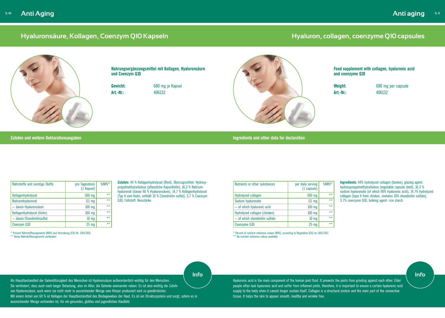# <span id="page-6-0"></span>**Hyaluronsäure, Kollagen, Coenzym Q10 Kapseln**

**Zutaten:** 44 % Kollagenhydrolysat (Rind), Überzugsmittel: Hydroxypropylmethylcellulose (pflanzliche Kapselhülle), 16,3 % Natriumhyaluronat (davon 90 % Hyaluronsäure), 14,7 % Kollagenhydrolysat (Typ II vom Huhn, enthält 10 % Chondroitin sulfat), 3,7 % Coenzym Q10, Füllstoff: Reisstärke

| Nährstoffe und sonstige Stoffe | pro Tagesdosis<br>(1 Kapsel) | $%$ NRV* |
|--------------------------------|------------------------------|----------|
| Kollagenhydrolysat             | 300 mg                       | $***$    |
| Natriumhyaluronat              | $111$ mg                     | $***$    |
| - davon Hyaluronsäure          | $100$ mg                     | $***$    |
| Kollagenhydrolysat (Huhn)      | 100 mg                       | $***$    |
| - davon Chondroitinsulfat      | $10 \text{ mg}$              | $***$    |
| Coenzym Q10                    | $25$ mg                      | $***$    |

\* Prozent Nährstoffbezugswerte (NRV) laut Verordnung (EU) Nr. 1169/2011 \*\* Keine Nährstoffbezugswerte vorhanden

\* Percent of nutrient reference values (NRV), according to Regulation (EU) no 1169/2011 \*\* No nutrient reference values available

**Nahrungsergänzungsmittel mit Kollagen, Hyaluronsäure und Coenzym Q10**

**Gewicht:** 680 mg je Kapsel **Art.-Nr.:** 406132



**Zutaten und weitere Deklarationsangaben** 

| Nutrients or other substances  | per daily serving<br>(1 capsule) | %NRV* |
|--------------------------------|----------------------------------|-------|
| Hydrolyzed collagen            | 300 mg                           | $***$ |
| Sodium hyaluronate             | $111$ mg                         | $***$ |
| - of which hyaluronic acid     | $100$ mg                         | $***$ |
| Hydrolyzed collagen (chicken)  | $100$ mg                         | $**$  |
| - of which chondroitin sulfate | $10 \text{ mg}$                  | $**$  |
| Coenzyme Q10                   | $25$ mg                          | $***$ |

# **Hyaluron, collagen, coenzyme Q10 capsules**



**Food supplement with collagen, hyaluronic acid and coenzyme Q10**

**Weight:** 680 mg per capsule **Art.-Nr.:** 406132

**Ingredients:** 44% hydrolyzed collagen (bovine), glazing agent: hydroxypropylmethylcellulose (vegetable capsule shell), 16.3 % sodium hyaluronate (of which 90% hyaluronic acid), 14.7% hydrolyzed collagen (type II from chicken, contains 10% chondroitin sulfate), 3.7% coenzyme Q10, bulking agent: rice starch

Als Hauptbestandteil der Gelenkflüssigkeit des Menschen ist Hyaloronsäure außerordentlich wichtig für den Menschen. Sie verhindert, dass auch nach langer Belastung, also im Alter, die Gelenke aneinander reiben. Es ist also wichtig die Zufuhr von Hyaloronsäure, auch wenn sie nicht mehr in ausreichender Menge vom Körper produziert wird zu gewährleisten. Mit einem Anteil von 60 % ist Kollagen der Hauptbestandteil des Bindegewebes der Haut. Es ist ein Strukturprotein und sorgt, sofern es in ausreichender Menge vorhanden ist, für ein gesundes, glattes und jugendliches Hautbild.

Hyaluronic acid is the main component of the human joint fluid. It prevents the joints from grinding against each other. Elder people often lack hyaluronic acid and suffer from inflamed joints, therefore, it is important to ensure a certain hyaluronic acid supply to the body when it cannot longer sustain itself. Collagen is a structural protein and the main part of the connective tissue. It helps the skin to appear smooth, healthy and wrinkle free.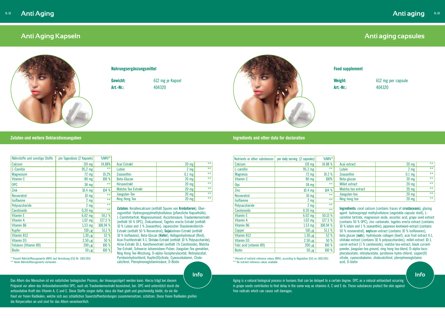#### **Zutaten und weitere Deklarationsangaben Ingredients and other data for declaration**

## <span id="page-7-0"></span>**Anti Aging Kapseln**



vlmethylcellulose (pflanzliche Kapselhülle), siumoxid, Ascorbinsäure, Traubenkernextrakt kcarbonat, Tagetes erecta Extrakt (enthält axanthin), Japanischer Staudenknöterichesveratrol), **Soja**bohnen-Extrakt (enthält **Glucan (Hafer), Kollagenhydrolysat (Rind),** Shitake-Extrakt (enthält 10 % Polysaccharide), ttenextrakt (enthält 1% Carotinoide), Matcha Tee-Extrakt, Schwarze Johannisbeer-Pulver, Jiaogulan-Tee gemahlen, Ning Hong Tee-Mischung, D-alpha-Tocopherylacetat, Retinylacetat, Pyridoxinhydrochlorid, Kupfer(II)citrate, Cyanocobalamin, Cholecalciferol, Pteroylmonoglutaminsäure, D-Biotin

**Zutaten:** Korallencalcium (enthält Spuren von **Krebstieren**), Über-Acai Extrakt 20 mg \*\* Lutein **2 mg** \*\* Zeaxanthin  $\begin{array}{ccc} 0,1 \text{ mg} & * \end{array}$ Beta-Glucan 20 mg \*\* Hirseextrakt 20 mg \*\* Matcha Tee Extrakt 20 mg \*\* Jiaogulan-Tee 20 mg \*\* Ning Hong Tee 20 mg \*\*

#### **Nahrungsergänzungsmittel**

**Gewicht:** 612 mg je Kapsel



**Art.-Nr.:** 404320

| Nährstoffe und sonstige Stoffe | pro Tagesdosis (2 Kapseln) | %NRV*    |                                                       |
|--------------------------------|----------------------------|----------|-------------------------------------------------------|
| Calcium                        | $119$ mg                   | 14,88%   | Acai Extrakt                                          |
| L-Carnitin                     | 95,2 mg                    | $***$    | Lutein                                                |
| <b>Magnesium</b>               | $72 \text{ mg}$            | 19,2%    | <b>Zeaxanthin</b>                                     |
| Vitamin C                      | 80 mg                      | 100 %    | Beta-Glucan                                           |
| <b>OPC</b>                     | 38 mg                      | $***$    | <b>Hirseextrakt</b>                                   |
| Zink                           | $10,4$ mg                  | 104 %    | Matcha Tee Extrakt                                    |
| Resveratrol                    | $10 \, \text{mg}$          | $***$    | Jiaogulan-Tee                                         |
| <b>Isoflavone</b>              | $2 \, mg$                  | $***$    | <b>Ning Hong Tee</b>                                  |
| Polysaccharide                 | $2$ mg $ $                 | $***$    |                                                       |
| Carotinoide                    | $0,20$ mg                  | $**$     | Zutaten: Korallencalcium                              |
| Vitamin E                      | $6,02$ mg                  | 50,1 %   | zugsmittel: Hydroxypropy<br>L-Carnitintartrat, Magne: |
| Vitamin A                      | $1,02$ mg                  | 127,5 %  | (enthält 50 % OPC), Zink                              |
| Vitamin B6                     | $1,53$ mg                  | 108,94 % | 10 % Lutein and 1 % Zea                               |
| Kupfer                         | $510 \mu g$                | 51,1 %   | Extrakt (enthält 50 % Re                              |
| Vitamin B12                    | $1,30 \mu g$               | 52 %     | 10 % Isoflavone), Beta-G                              |
| Vitamin D3                     | $2,50 \mu g$               | 50 %     | Acai-Fruchtextrakt 4:1, S                             |
| Folsäure (Vitamin B9)          | $200 \mu g$                | 100 %    | Hirse-Extrakt 10:1, Karot                             |

\* Prozent Nährstoffbezugswerte (NRV) laut Verordnung (EU) Nr. 1169/2011 \*\* Keine Nährstoffbezugswerte vorhanden

Biotin 100 % **100 %** 

# **Anti aging capsules**

### **Food supplement**

**Weight:** 612 mg per capsule **Art.-Nr.:** 404320

| Acai extract       | $20 \text{ mg}$ | $***$ |
|--------------------|-----------------|-------|
| Lutein             | 2 <sub>mg</sub> | $***$ |
| Zeaxanthin         | $0.1$ mg        | $***$ |
| Beta-glucan        | $20$ mg         | $***$ |
| Millet extract     | $20$ mg         | $**$  |
| Matcha tea extract | $20$ mg         | $***$ |
| Jiaogulan-tea      | $20$ mg         | $***$ |
| Ning hong tea      | $20$ mg         | $***$ |

**Ingredients:** coral calcium (contains traces of **crustaceans**), glazing agent: hydroxypropyl methylcellulose (vegetable capsule shell), Lcarnitine tartrate, magnesium oxide, ascorbic acid, grape seed extract (contains 50 % OPC), zinc carbonate, tagetes erecta extract (contains 10 % lutein and 1 % zeaxanthin), japanese knotweed-extract (contains 50 % reseveratrol), **soy**bean-extract (contains 10 % isoflavones), beta glucan (**oat**s), hydrolysate collagen (beef), acai fruit extract 4:1, shiitake-extract (contains 10 % polysaccharides), millet-extract 10:1, carrot-extract (1 % carotenoids), matcha tea-extract, black currantpowder, jiaogulan-tea ground, ning hong tea-blend, D-alpha-tocopherylacetate, retinylacetate, pyridoxine hydro-chlorid, copper(II) citrate, cyanocobalamin, cholecalciferol, pteroylmonoglutamic acid, D-biotin Calcium 119 mg 14.88 % L-carnitin  $95.2 \text{ mg}$  \*\* Magnesia 19.2 % Vitamin C 100% Opc  $\sim$  38 mg  $^{\ast\ast}$ Zinc 10.4 mg 104 % Resveratrol  $\frac{10 \text{ mg}}{2 \text{ mg}}$  \*\* Isoflavone 2 mg \*\*<br>Polygaccharide 2 mg \*\* Polysaccharide 2 mg \*\*<br>Carotanoids 0 20 mg \*\* Carotenoids 6.20 mg Vitamin E 6.02 mg  $\sim$  6.02 mg  $\sim$  50.13 % Vitamin A 1.02 mg 127.5 % Vitamin B6 1.53 mg 108.94 % Copper  $\vert$  510 µg 51.1 % Vitamin B12  $\vert$  1.30 µg 52 % Vitamin D3  $2.50 \text{ µg}$  50 % Folic acid (vitamin B9)  $\vert$  200  $\vert$  200  $\vert$  100 % Biotin 100 % Acai extract the contract the contract to the contract of  $\sim$   $20 \text{ mg}$  to  $\sim$ Lutein **2 mg** \*\* Zeaxanthin 1990 | 2001 | 2002 | 2012 | 2022 | 2022 | 2022 | 2022 | 2022 | 2022 | 2022 | 2022 | 2022 | 2022 | 20 Beta-glucan and a set of the set of the set of the set of the set of the set of the set of the set of the set o Millet extract the set of the set of the set of the set of the set of the set of the set of the set of the set o Matcha tea extract  $\blacksquare$  20 mg  $\blacksquare$  \*\* Jiaogulan-tea 20 mg \*\* Ning hong tea the set of the set of the set of the set of the set of the set of the set of the set of the set o \* Percent of nutrient reference values (NRV), according to Regulation (EU) no 1169/2011

\*\* No nutrient reference values available

Das Altern des Menschen ist ein natürlicher biologischer Prozess, der hinausgezögert werden kann. Hierzu trägt bei diesem Präparat vor allem das Antioxidationsmittel OPC, auch als Traubenkernextrakt bezeichnet, bei. OPC wird unterstützt durch die antioxidative Kraft des Vitamin A, C und E. Diese Stoffe sorgen dafür, dass die Haut glatt und geschmeidig bleibt, da sie die Haut vor freien Radikalen, welche sich aus schädlichen Sauerstoffverbindungen zusammensetzen, schützen. Diese freien Radikalen greifen die Körperzellen an und sind für das Altern verantwortlich.

Nutrients or other substances  $|$  per daily serving (2 capsules)  $|$  %NRV\*

Aging is a natural biological process in humans that can be delayed to a certain degree. OPC as a natural antioxidant occuring in grape seeds contributes to that delay in the same way as vitamins A, C and E do. These substances protect the skin against free radicals which can cause cell damages.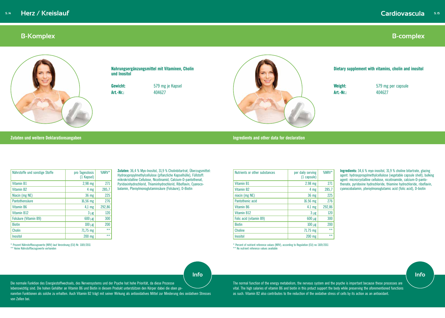#### **Zutaten und weitere Deklarationsangaben Ingredients and other data for declaration**

## <span id="page-8-0"></span>**B-Komplex**



**Zutaten:** 36,4 % Myo-Inositol, 31,9 % Cholinbitartrat, Überzugsmittel: Hydroxypropylmethylcellulose (pflanzliche Kapselhülle), Füllstoff: mikrokristalline Cellulose, Nicotinamid, Calcium-D-pantothenat, Pyridoxinhydrochlorid, Thiaminhydrochlorid, Riboflavin, Cyanocobalamin, Pteroylmonoglutaminsäure (Folsäure), D-Biotin

| Nährstoffe und sonstige Stoffe | pro Tagesdosis<br>(1 Kapsel) | %NRV*  |
|--------------------------------|------------------------------|--------|
| Vitamin B1                     | 2,98 mg                      | 271    |
| Vitamin B <sub>2</sub>         | 4 mg                         | 285,7  |
| Niacin (mg NE)                 | 36 mg                        | 225    |
| Pantothensäure                 | 16,56 mg                     | 276    |
| Vitamin B6                     | $4,1$ mg                     | 292,86 |
| Vitamin B12                    | $3 \mu g$                    | 120    |
| Folsäure (Vitamin B9)          | $600 \mu g$                  | 300    |
| <b>Biotin</b>                  | $100 \mu g$                  | 200    |
| <b>Cholin</b>                  | $71,75 \, \text{mg}$         | $***$  |
| Inositol                       | 200 mg                       | $***$  |

Nutrients or other substances **per daily serving** (1 capsule) %NRV\* Vitamin B1 2.98 mg 2.98 mg 271 Vitamin B2  $4 \text{ mg}$  285,7 niacin (mg NE) 36 mg 225 Pantothenic acid 16.56 mg 276 Vitamin B6 4.1 mg 292,86 Vitamin B12  $3 \mu g$  120 Folic acid (vitamin B9)  $\begin{array}{|c|c|c|c|c|c|c|c|c|c|c|} \hline \end{array}$  600 µg  $\begin{array}{|c|c|c|c|c|c|c|c|c|} \hline \end{array}$  300 Biotin 100 µg 200 Choline  $\frac{71.75 \text{ mg}}{4.5}$   $\frac{1}{2}$   $\frac{1}{2}$   $\frac{1}{2}$   $\frac{1}{2}$   $\frac{1}{2}$   $\frac{1}{2}$   $\frac{1}{2}$   $\frac{1}{2}$   $\frac{1}{2}$   $\frac{1}{2}$   $\frac{1}{2}$   $\frac{1}{2}$   $\frac{1}{2}$   $\frac{1}{2}$   $\frac{1}{2}$   $\frac{1}{2}$   $\frac{1}{2}$   $\frac{1}{2}$   $\frac{1}{2}$   $\$ Inositol 200 mg \*\*

\* Prozent Nährstoffbezugswerte (NRV) laut Verordnung (EU) Nr. 1169/2011 \*\* Keine Nährstoffbezugswerte vorhanden

**Nahrungsergänzungsmittel mit Vitaminen, Cholin und Inositol** 

**Gewicht:** 579 mg je Kapsel

**Art.-Nr.:** 404627



### **Dietary supplement with vitamins, cholin and inositol**

**Weight:** 579 mg per capsule **Art.-Nr.:** 404627

**Ingredients:** 34,6 % myo-inositol, 31,9 % choline bitartrate, glazing agent: hydroxyproyplmethylcellulose (vegetable capsule shell), bulking agent: microcrystalline cellulose, nicotinamide, calcium-D-pantothenate, pyridoxine hydrochloride, thiamine hydrochloride, riboflavin, cyanocobalamin, pteroylmonoglutamic acid (folic acid), D-biotin

\* Percent of nutrient reference values (NRV), according to Regulation (EU) no 1169/2011

\*\* No nutrient reference values available

Die normale Funktion des Energiestoffwechsels, des Nervensystems und der Psyche hat hohe Priorität, da diese Prozesse lebenswichtig sind. Die hohen Gehälter an Vitamin B6 und Biotin in diesem Produkt unterstützen den Körper dabei die oben genannten Funktionen als solche zu erhalten. Auch Vitamin B2 trägt mit seiner Wirkung als antioxidatives Mittel zur Minderung des oxidativen Stresses von Zellen bei.

The normal function of the energy metabolism, the nervous system and the psyche is important because these processes are vital. The high salaries of vitamin B6 and biotin in this prduct support the body while preserving the aforementioned functions as such. Vitamin B2 also contributes to the reduction of the oxidative stress of cells by its action as an antioxidant.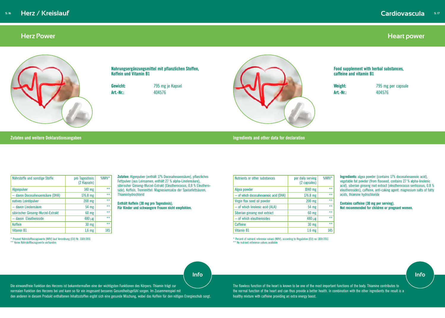

#### **Zutaten und weitere Deklarationsangaben Ingredients and other data for declaration**

## <span id="page-9-0"></span>**Herz Power**



**Zutaten:** Algenpulver (enthält 17% Docosahexaensäure), pflanzliches Fettpulver (aus Leinsamen, enthält 27 % alpha-Linolensäure), sibirischer Ginseng-Wurzel-Extrakt (Eleutherococus, 0,8 % Eleutheroside), Koffein, Trennmittel: Magnesiumsalze der Speisefettsäuren, Thiaminhydrochlorid

**Enthält Koffein (30 mg pro Tagesdosis). Für Kinder und schwangere Frauen nicht empfohlen.**

| Nährstoffe und sonstige Stoffe     | pro Tagesdosis<br>(2 Kapseln) | $%$ NRV* |
|------------------------------------|-------------------------------|----------|
| Algenpulver                        | 140 mg                        | $***$    |
| - davon Docosahexaensäure (DHA)    | 176,8 mg                      | $***$    |
| natives Leinölpulver               | $200$ mg                      | $***$    |
| - davon Linolensäure               | 54 mg                         | $***$    |
| sibirischer Ginseng-Wurzel-Extrakt | 60 mg                         | $***$    |
| - davon Eleutheroside              | $480 \mu g$                   | $***$    |
| <b>Koffein</b>                     | 30 mg                         | $***$    |
| Vitamin B1                         | $1,6$ mg                      | 145      |

**Weight:** 795 mg per capsule **Art.-Nr.:** 404576

\* Prozent Nährstoffbezugswerte (NRV) laut Verordnung (EU) Nr. 1169/2011 \*\* Keine Nährstoffbezugswerte vorhanden

**Nahrungsergänzungsmittel mit pflanzlichen Stoffen, Koffein und Vitamin B1**

**Gewicht:** 795 mg je Kapsel

**Art.-Nr.:** 404576



| Nutrients or other substances         | per daily serving<br>(2 capsules) | %NRV* |
|---------------------------------------|-----------------------------------|-------|
| Algea powder                          | 1040 mg                           | $***$ |
| - of which docosahexaenoic acid (DHA) | 176.8 mg                          | $***$ |
| Virgin flax seed oil powder           | 200 mg                            | $***$ |
| - of which linolenic acid (ALA)       | 54 mg                             | $***$ |
| Siberian ginseng root extract         | 60 mg                             | $***$ |
| $-$ of which eleutherosides           | 480 µg                            | $***$ |
| <b>Caffeine</b>                       | 30 mg                             | $***$ |
| Vitamin B1                            | 1.6 <sub>mg</sub>                 | 145   |

**Food supplement with herbal substances, caffeine and vitamin B1**

**Ingredients:** algea powder (contains 17% docosahexaenoic acid), vegetable fat powder (from flaxseed, contains 27 % alpha-linolenic acid), siberian ginseng root extract (eleutherococus senticosus, 0.8 % eleutherosides), caffeine, anti-caking agent: magnesium salts of fatty acids, thiamine hydrochloride

**Contains caffeine (30 mg per serving). Not recommended for children or pregnant women.**

\* Percent of nutrient reference values (NRV), according to Regulation (EU) no 1169/2011 \*\* No nutrient reference values available

Die einwandfreie Funktion des Herzens ist bekanntermaßen eine der wichtigsten Funktionen des Körpers. Thiamin trägt zur normalen Funktion des Herzens bei und kann so für ein insgesamt besseres Gesundheitsgefühl sorgen. Im Zusammenspiel mit den anderen in diesem Produkt enthaltenen Inhaltsstoffen ergibt sich eine gesunde Mischung, wobei das Koffein für den nötigen Energieschub sorgt.

The flawless function of the heart is known to be one of the most important functions of the body. Thiamine contributes to the normal function of the heart and can thus provide a better health. In combination with the other ingredients the result is a healthy mixture with caffeine providing an extra energy boost.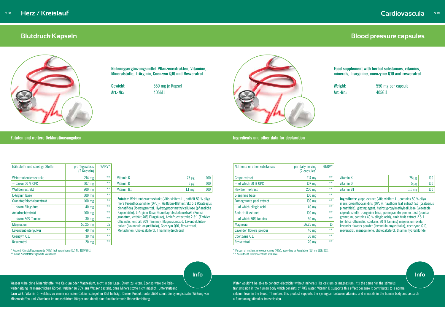#### **Zutaten und weitere Deklarationsangaben Ingredients and other data for declaration**

## <span id="page-10-0"></span>**Blutdruck Kapseln**



**Zutaten:** Weintraubenkernextrakt (Vitis vinifera L., enthält 50 % oligomere Proanthocyanidine (OPC)), Weißdorn-Blattextrakt 5:1 (Crataegus pinnatifida) Überzugsmittel: Hydroxypropylmethylcellulose (pflanzliche Kapselhülle), L-Arginin Base, Granatapfelschalenextrakt (Punica granatum, enthält 40% Ellagsäure), Amlafruchtextrakt 2,5:1 (Emblica officinalis, enthält 30% Tannine), Magnesiumoxid, Lavendelblütenpulver (Lavandula angustifolia), Coenzym Q10, Resveratrol, Menachinon, Cholecalciferol, Thiaminhydrochlorid

|  | <b>ULLES AND THE STATE OF STATE OF A STATE OF A STATE OF A STATE OF A STATE OF A STATE OF A STATE OF ST</b> |
|--|-------------------------------------------------------------------------------------------------------------|
|  |                                                                                                             |
|  |                                                                                                             |
|  |                                                                                                             |

| Nährstoffe und sonstige Stoffe | pro Tagesdosis<br>(2 Kapseln) | %NRV* |
|--------------------------------|-------------------------------|-------|
| Weintraubenkernextrakt         | $214$ mg                      | $***$ |
| $-$ davon 50 % OPC             | 107 mg                        | $***$ |
| Weißdornextrakt                | 200 mg                        | $***$ |
| L-Arginin Base                 | $100$ mg                      | $***$ |
| Granatapfelschalenextrakt      | 100 mg                        | $***$ |
| - davon Ellagsäure             | 40 mg                         | $***$ |
| Amlafruchtextrakt              | $100$ mg                      | $***$ |
| - davon 30% Tannine            | $30$ mg                       | $***$ |
| <b>Magnesium</b>               | 56,25 mg                      | 15    |
| Lavendenblütenpulver           | 40 mg                         | $***$ |
| Coenzym Q10                    | $30$ mg                       | $***$ |
| Resveratrol                    | $20$ mg                       | $*$   |

\* Prozent Nährstoffbezugswerte (NRV) laut Verordnung (EU) Nr. 1169/2011 \*\* Keine Nährstoffbezugswerte vorhanden

**Nahrungsergänzungsmittel Pflanzenextrakten, Vitamine, Mineralstoffe, L-Arginin, Coenzym Q10 und Resveratrol**

**Gewicht:** 550 mg je Kapsel **Art.-Nr.:** 405611



Water wouldn't be able to conduct electricity without minerals like calcium or magnesium. It's the same for the stimulus transmission in the human body which consists of 70% water. Vitamin D supports this effect because it contributes to a normal calcium level in the blood. Therefore, this product supports the synergism between vitamins and minerals in the human body and as such a functioning stimulus transmission.

# **Blood pressure capsules**

**Food supplement with herbal substances, vitamins, minerals, L-arginine, coenzyme Q10 and resveratrol**

**Weight:** 550 mg per capsule **Art.-Nr.:** 405611

| Nutrients or other substances | per daily serving<br>(2 capsules) | %NRV* |                                                                                                                                                    |                  |     |  |  |
|-------------------------------|-----------------------------------|-------|----------------------------------------------------------------------------------------------------------------------------------------------------|------------------|-----|--|--|
| Grape extract                 | $214$ mg                          | $**$  | Vitamin K                                                                                                                                          | $75 \mu g$       | 100 |  |  |
| $-$ of which 50 % OPC         | $107$ mg                          | $***$ | Vitamin D                                                                                                                                          | $5 \mu g$        | 100 |  |  |
| Hawthorn extract              | 200 mg                            | $***$ | Vitamin B1                                                                                                                                         | $1.1 \text{ mg}$ | 100 |  |  |
| L-arginine base               | $100$ mg                          | $***$ |                                                                                                                                                    |                  |     |  |  |
| Pomegranate peel extract      | $100$ mg                          | $**$  | <b>Ingredients:</b> grape extract (vitis vinifera L., contains 50 % oligo-<br>meric proanthocyanidins (OPC)), hawthorn leaf extract 5:1 (crataegus |                  |     |  |  |
| $-$ of which ellagic acid     | $40 \text{ mg}$                   | $**$  | pinnatifida), glazing agent: hydroxypropylmethylcellulose (vegetable                                                                               |                  |     |  |  |
| Amla fruit-extract            | $100$ mg                          | $***$ | capsule shell), L-arginine base, pomegranate peel extract (punica                                                                                  |                  |     |  |  |
| $-$ of which 30% tannins      | $30 \text{ mg}$                   | $**$  | granatum, contains 40 % ellagic acid), amla fruit extract 2.5:1<br>(emblica officinalis, contains 30 % tannins) magnesium oxide,                   |                  |     |  |  |
| <b>Magnesia</b>               | 56.25 mg                          | 15    | lavender flowers powder (lavandula angustifolia), coenzyme Q10,                                                                                    |                  |     |  |  |
| Lavender flowers powder       | $40 \text{ mg}$                   | $***$ | resveratrol, menaquinone, cholecalciferol, thiamin hydrochloride                                                                                   |                  |     |  |  |
| Coenzyme Q10                  | $30 \text{ mg}$                   | $***$ |                                                                                                                                                    |                  |     |  |  |
| Resveratrol                   | $20 \text{ mg}$                   | $**$  |                                                                                                                                                    |                  |     |  |  |

\* Percent of nutrient reference values (NRV), according to Regulation (EU) no 1169/2011 \*\* No nutrient reference values available

Wasser wäre ohne Mineralstoffe, wie Calcium oder Magnesium, nicht in der Lage, Strom zu leiten. Ebenso wäre die Reizweiterleitung im menschlichen Körper, welcher zu 70% aus Wasser besteht, ohne Mineralstoffe nicht möglich. Unterstützend

dazu wirkt Vitamin D, welches zu einem normalen Calciumspiegel im Blut beiträgt. Dieses Produkt unterstützt somit die synergistische Wirkung von Mineralstoffen und Vitaminen im menschlichen Körper und damit eine funktionierende Reizweiterleitung.

| <b>/01 V I V</b> |                  |                    |     |
|------------------|------------------|--------------------|-----|
| $***$            | <b>Vitamin K</b> | $75 \mu g$         | 100 |
| $***$            | Vitamin D        | $5 \mu g$          | 100 |
| $***$            | Vitamin B1       | $1,1 \, \text{mg}$ | 100 |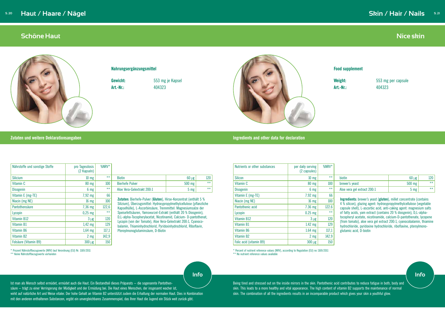## <span id="page-11-0"></span>**Schöne Haut**



**Zutaten:** Bierhefe-Pulver (**Gluten**), Hirse-Konzentrat (enthält 5 % Silizium), Überzugsmittel: Hydroxypropylmethylcellulose (pflanzliche Kapselhülle), L-Ascorbinsäure, Trennmittel: Magnesiumsalze der Speisefettsäuren, Yamswurzel-Extrakt (enthält 20 % Diosgenin), D,L-alpha-Tocopherylacetat, Nicotinamid, Calcium- D-pantothenat, Lycopin (von der Tomate), Aloe Vera-Gelextrakt 200:1, Cyanocobalamin, Thiaminhydrochlorid, Pyridoxinhydrochlorid, Riboflavin, Pteroylmonoglutaminsäure, D-Biotin

| Ingredients and other data for declaratior |  |  |  |  |  |  |  |
|--------------------------------------------|--|--|--|--|--|--|--|
|--------------------------------------------|--|--|--|--|--|--|--|

| Nährstoffe und sonstige Stoffe | pro Tagesdosis<br>(2 Kapseln) | %NRV* |
|--------------------------------|-------------------------------|-------|
| <b>Silicium</b>                | 10 <sub>mg</sub>              | $***$ |
| Vitamin C                      | 80 mg                         | 100   |
| <b>Disogenin</b>               | 6 mg                          | $***$ |
| Vitamin E (mg-TE)              | 7,92 mg                       | 66    |
| Niacin (mg NE)                 | 16 <sub>mg</sub>              | 100   |
| Pantothensäure                 | 7,36 mg                       | 122,6 |
| Lycopin                        | $0,25$ mg                     | $***$ |
| Vitamin B12                    | $3 \mu g$                     | 120   |
| Vitamin B1                     | $1,42$ mg                     | 129   |
| Vitamin B6                     | $1,64$ mg                     | 117,1 |
| Vitamin B2                     | 2 <sub>mg</sub>               | 142,9 |
| Folsäure (Vitamin B9)          | $300 \mu g$                   | 150   |

\* Prozent Nährstoffbezugswerte (NRV) laut Verordnung (EU) Nr. 1169/2011 \*\* Keine Nährstoffbezugswerte vorhanden

#### **Nahrungsergänzungsmittel**

**Gewicht:** 553 mg je Kapsel



**Art.-Nr.:** 404323

# **Nice skin**

Biotin 60 µg 120 Bierhefe Pulver 500 mg \*\* Aloe Vera-Gelextrakt 200:1 5 mg

### **Food supplement**

**Weight:** 553 mg per capsule **Art.-Nr.:** 404323

\* Percent of nutrient reference values (NRV), according to Regulation (EU) no 1169/2011

\*\* No nutrient reference values available

#### **Zutaten und weitere Deklarationsangaben**

| Nutrients or other substances | per daily serving<br>(2 capsules) | $%$ NRV* |                                                                                                                                                                                                                          |                 |       |  |  |
|-------------------------------|-----------------------------------|----------|--------------------------------------------------------------------------------------------------------------------------------------------------------------------------------------------------------------------------|-----------------|-------|--|--|
| <b>Silicon</b>                | $10 \text{ mg}$                   | $***$    | biotin                                                                                                                                                                                                                   | $60 \mu g$      | 120   |  |  |
| Vitamin C                     | $80 \text{ mg}$                   | 100      | brewer's yeast                                                                                                                                                                                                           | 500 mg          | $***$ |  |  |
| <b>Disogenin</b>              | 6 <sub>mg</sub>                   | $***$    | Aloe vera gel extract 200:1                                                                                                                                                                                              | 5 <sub>mg</sub> | $***$ |  |  |
| Vitamin E (mg-TE)             | 7.92 mg                           | 66       |                                                                                                                                                                                                                          |                 |       |  |  |
| Niacin (mg NE)                | $16 \text{ mg}$                   | 100      | <b>Ingredients:</b> brewer's yeast (gluten), millet concentrate (contains<br>4 % silicon), glazing agent: hydroxypropylmethylcellulose (vegetable<br>capsule shell), L-ascorbic acid, anti-caking agent: magnesium salts |                 |       |  |  |
| Pantothenic acid              | $7.36$ mg                         | 122.6    |                                                                                                                                                                                                                          |                 |       |  |  |
| Lycopin                       | $0.25$ mg                         | $***$    | of fatty acids, yam extract (contains 20 % diosgenin), D,L-alpha-                                                                                                                                                        |                 |       |  |  |
| Vitamin B12                   | $3 \mu g$                         | 120      | tocopheryl acetate, nicotinamide, calcium-D-pantothenate, lycopene                                                                                                                                                       |                 |       |  |  |
| Vitamin B1                    | $1.42$ mg                         | 129      | (from tomato), aloe vera gel extract 200:1, cyanocobalamin, thiamine<br>hydrochloride, pyridoxine hydrochloride, riboflavine, pteroylmono-                                                                               |                 |       |  |  |
| Vitamin B6                    | $1.64$ mg                         | 117,1    | glutamic acid, D-biotin                                                                                                                                                                                                  |                 |       |  |  |
| Vitamin B2                    | 2 <sub>mg</sub>                   | 142.9    |                                                                                                                                                                                                                          |                 |       |  |  |
| Folic acid (vitamin B9)       | $300 \mu g$                       | 150      |                                                                                                                                                                                                                          |                 |       |  |  |

Ist man als Mensch selbst ermüdet, ermüdet auch die Haut. Ein Bestandteil dieses Präparats – die sogenannte Pantothensäure – trägt zu einer Verringerung der Müdigkeit und der Ermüdung bei. Die Haut eines Menschen, der insgesamt wacher ist, wirkt auf natürliche Art und Weise vitaler. Der hohe Gehalt an Vitamin B2 unterstützt zudem die Erhaltung der normalen Haut. Dies in Kombination mit den anderen enthaltenen Substanzen, ergibt ein unvergleichbares Zusammenspiel, das Ihrer Haut die Jugend ein Stück weit zurück gibt.

Being tired and stressed out on the inside mirrors in the skin. Pantothenic acid contributes to reduce fatigue in both, body and skin. This leads to a more healthy and vital appearance. The high content of vitamin B2 supports the maintenance of normal skin. The combination of all the ingredients results in an incomparable product which gives your skin a youthful glow.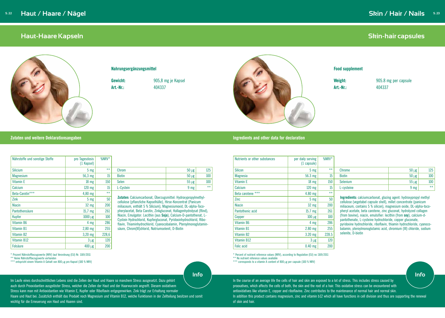#### **Zutaten und weitere Deklarationsangaben Ingredients and other data for declaration**

## <span id="page-12-0"></span>**Haut-Haare Kapseln**



#### **Nahrungsergänzungsmittel**

**Gewicht:** 905,8 mg je Kapsel



**Art.-Nr.:** 404337

**Zutaten:** Calciumcarbonat, Überzugsmittel: Hydroxypropylmethylcellulose (pflanzliche Kapselhülle), Hirse-Konzentrat (Panicum miliaceum, enthält 5 % Silicium), Magnesiumoxid, DL-alpha-Tocopherylacetat, Beta Carotin, Zinkgluconat, Kollagenhydrolysat (Rind), Niacin, Emulgator: Lecithin (aus **Soja**), Calcium-D-pantothenat, L-Cystein Hydrochlorid, Kupfergluconat, Pyridoxinhydrochlorid, Riboflavin, Thiaminhydrochlorid, Cyanocobalamin, Pteroylmonoglutaminsäure, Chrom(III)chlorid, Natriumselenit, D-Biotin

**Weight:** 905.8 mg per capsule **Art.-Nr.:** 404337

| Nährstoffe und sonstige Stoffe | pro Tagesdosis<br>(1 Kapsel) | $%$ NRV $*$      |               |                 |       |
|--------------------------------|------------------------------|------------------|---------------|-----------------|-------|
| <b>Silicium</b>                | $5 \text{ mg}$               | $***$            | Chrom         | $50 \mu g$      | 125   |
| <b>Magnesium</b>               | 56,3 mg                      | 15               | <b>Biotin</b> | $50 \mu g$      | 100   |
| <b>Vitamin E</b>               | $18 \text{ mg}$              | 150              | Selen         | $55 \mu g$      | 100   |
| Calcium                        | $120$ mg                     | 15 <sup>15</sup> | L-Cystein     | 9 <sub>mg</sub> | $***$ |
| Beta-Carotin***                | $4,80$ mg                    | $***$            |               |                 |       |

\* Prozent Nährstoffbezugswerte (NRV) laut Verordnung (EU) Nr. 1169/2011

\*\* Keine Nährstoffbezugswerte vorhanden

\*\*\* entspricht einem Vitamin A Gehalt von 800 µg pro Kapsel (100 % NRV)

 $\sum$ ink  $5 \text{ mg}$  50 Niacin 32 mg 200 Pantothensäure 15,7 mg 261 Kupfer  $1000 \text{ µg}$   $100$ Vitamin B6 4 mg 286 Vitamin B1 2,80 mg 255 Vitamin B2 3,20 mg 228,6 Vitamin B12  $3 \mu g$  120 Folsäure  $400 \text{ kg}$  200

# **Skin-hair capsules**

### **Food supplement**

| Nutrients or other substances | per daily serving<br>$(1 \text{ capsule})$ | %NRV* |                                                                                                                                              |                 |       |  |
|-------------------------------|--------------------------------------------|-------|----------------------------------------------------------------------------------------------------------------------------------------------|-----------------|-------|--|
| <b>Silicon</b>                | 5 <sub>mg</sub>                            | $***$ | <b>Chrome</b>                                                                                                                                | $50 \mu g$      | 125   |  |
| <b>Magnesia</b>               | 56.3 mg                                    | 15    | <b>Biotin</b>                                                                                                                                | $50 \mu g$      | 100   |  |
| Vitamin E                     | $18 \text{ mg}$                            | 150   | Selenium                                                                                                                                     | $55 \mu g$      | 100   |  |
| Calcium                       | 120 mg                                     | 15    | L-cysteine                                                                                                                                   | 9 <sub>mg</sub> | $***$ |  |
| Beta carotene ***             | 4.80 mg                                    | $***$ |                                                                                                                                              |                 |       |  |
| Zinc                          | $5 \, \text{mg}$                           | 50    | <b>Ingredients:</b> calciumcarbonat, glazing agent: hydroxypropyl methyl<br>cellulose (vegetabel capsule shell), millet concentrate (panicum |                 |       |  |
| <b>Niacin</b>                 | 32 mg                                      | 200   | miliaceum, contains 5 % silicon), magnesium oxide, DL-alpha-toco-                                                                            |                 |       |  |
| Pantothenic acid              | $15.7$ mg                                  | 261   | pheryl acetate, beta carotene, zinc gluconat, hydrolyzed collagen                                                                            |                 |       |  |
| Copper                        | $100 \mu g$                                | 100   | (from bovine), niacin, emulsifier: lecithin (from soy), calcium-d-<br>pantothenate, L-cysteine hydrochloride, copper gluconate,              |                 |       |  |
| Vitamin B6                    | $4 \, \text{mg}$                           | 286   | pyridoxine hydrochloride, riboflavin, thiamin hydrochloride, cyanoco-                                                                        |                 |       |  |
| Vitamin B1                    | $2.80$ mg                                  | 255   | balamin, pteroylmonoglutamic acid, chromium (III) chloride, sodium                                                                           |                 |       |  |
| Vitamin B2                    | $3.20$ mg                                  | 228.5 | selenite, D-biotin                                                                                                                           |                 |       |  |
| Vitamin B12                   | $3 \mu g$                                  | 120   |                                                                                                                                              |                 |       |  |
| <b>Folic acid</b>             | $0.40$ mg                                  | 200   |                                                                                                                                              |                 |       |  |

\* Percent of nutrient reference values (NRV), according to Regulation (EU) no 1169/2011

\*\* No nutrient reference values available

\*\*\* corresponds to a vitamin A content of 800 µg per capsule (100 % NRV)

Im Laufe eines durchschnittlichen Lebens sind die Zellen der Haut und Haare so manchem Stress ausgesetzt. Dazu gehört auch durch Prooxidantien ausgelöster Stress, welcher die Zellen der Haut und der Haarwurzeln angreift. Diesem oxidativem Stress kann man mit Antioxidantien wie Vitamin E, Kupfer oder Riboflavin entgegenwirken. Zink trägt zur Erhaltung normaler Haare und Haut bei. Zusätzlich enthält das Produkt noch Magnesium und Vitamin B12, welche Funktionen in der Zellteilung besitzen und somit wichtig für die Erneuerung von Haut und Haaren sind.

In the course of an average life the cells of hair and skin are exposed to a lot of stress. This includes stress caused by prooxatives, which affects the cells of both, the skin and the root of a hair. This oxidative stress can be encountered with antioxidatives like vitamin E, copper and riboflavine. Zinc contributes to the maintenance of normal hair and normal skin. In addition this product contains magnesium, zinc and vitamin b12 which all have functions in cell division and thus are supporting the renewal of skin and hair.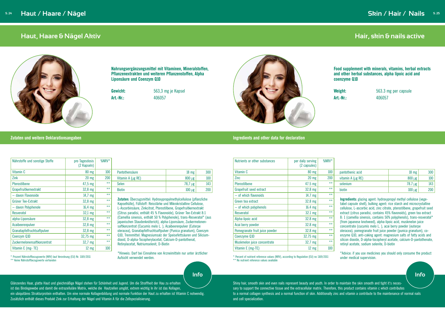#### **Zutaten und weitere Deklarationsangaben Ingredients and other data for declaration**

## <span id="page-13-0"></span>**Haut, Haare & Nägel Aktiv**



**Zutaten:** Überzugsmittel: Hydroxypropylmethylcellulose (pflanzliche tärke und Mikrokristalline Cellulose, Pterostilbene, Grapefruitkernextrakt 6 Flavonoide), Grüner Tee-Extrakt 8:1 60 % Polyphenole), trans-Resveratol\* (aus ch), alpha-Liponsäure, Zuckermelonenlo L. ), Acaibeerenpulver (Euterpe saftpulver (Punica granatum), Coenzym Q10, Trennmittel: Magnesiumsalz der Speisefettsäuren und Siliciumdioxid, D-alpha-Tocopherylacetat, Calcium-D-pantothenat, Retinylacetat, Natriumselenit, D-Biotin

\*Hinweis: Darf bei Einnahme von Arzneimitteln nur unter ärztlicher Aufsicht verwendet werden.

| Nährstoffe und sonstige Stoffe | pro Tagesdosis<br>(2 Kapseln) | %NRV* |                                                                 |
|--------------------------------|-------------------------------|-------|-----------------------------------------------------------------|
| Vitamin C                      | 80 mg                         | 100   | Pantothensäure                                                  |
| Zink                           | $20$ mg                       | 200   | Vitamin A ( $\mu$ g RE)                                         |
| Pterostilbene                  | $47,5 \text{ mg}$             | $***$ | <b>Selen</b>                                                    |
| Grapefruitkernextrakt          | 32,8 mg                       | $***$ | <b>Biotin</b>                                                   |
| - davon Flavonoide             | $14,7$ mg                     | $***$ |                                                                 |
| Grüner Tee-Extrakt             | 32,8 mg                       | $***$ | Zutaten: Überzugsmittel: Hyc<br>Kapselhülle), Füllstoff: Reisst |
| - davon Polyphenole            | $16,4$ mg                     | $***$ | L-Ascorbinsäure, Zinkcitrat, F                                  |
| Resveratol                     | $32,1$ mg                     | $***$ | (Citrus paradisi, enthält 45 %                                  |
| alpha-Liponsäure               | 32,8 mg                       | $***$ | (Camellia sinensis, enthält 50<br>japanischen Staudenknöterich  |
| Acaibeerenpulver               | 32,8 mg                       | $***$ | saftkonzentrat (Cucumis mel                                     |
| Granatapfelfruchtsaftpulver    | 32,8 mg                       | $***$ | oleracea), Granatapfelfruchts                                   |
| Coenzym Q10                    | 32,75 mg                      | $***$ | Q10, Trennmittel: Magnesium                                     |

\* Prozent Nährstoffbezugswerte (NRV) laut Verordnung (EU) Nr. 1169/2011 \*\* Keine Nährstoffbezugswerte vorhanden

Zuckermelonensaftkonzentrat | 32,7 mg \*\* Vitamin E (mg- TE)  $12 \text{ mg}$  100

Pantothensäure 18 mg 300 Vitamin A ( $\mu$ g RE)  $\vert$  800  $\mu$ g  $\vert$  $78,7 \,\mu g$ Biotin  $100 \text{ µg}$ 

**Nahrungsergänzungsmittel mit Vitaminen, Mineralstoffen, Pflanzenextrakten und weiteren Pflanzenstoffen, Alpha Liponsäure und Coenzym Q10**

**Gewicht:** 563,3 mg je Kapsel **Art.-Nr.:** 406057

# **Hair, skin & nails active**

**Food supplement with minerals, vitamins, herbal extracts and other herbal substances, alpha lipoic acid and coenzyme Q10**

**Weight:** 563.3 mg per capsule **Art.-Nr.:** 406057

| Nutrients or other substances  | per daily serving<br>(2 capsules) | %NRV* |                                                                                                                                                                                                                               |                 |     |  |
|--------------------------------|-----------------------------------|-------|-------------------------------------------------------------------------------------------------------------------------------------------------------------------------------------------------------------------------------|-----------------|-----|--|
| Vitamin C                      | $80$ mg                           | 100   | pantothenic acid                                                                                                                                                                                                              | $18 \text{ mg}$ | 300 |  |
| Zinc                           | $20 \text{ mg}$                   | 200   | vitamin $A(\mu g)$ RE)                                                                                                                                                                                                        | $800 \mu g$     | 100 |  |
| Pterostilbene                  | $47.5$ mg                         | $***$ | selenium                                                                                                                                                                                                                      | $78.7 \mu g$    | 143 |  |
| Grapefruit seed extract        | 32.8 mg                           | $***$ | biotin                                                                                                                                                                                                                        | $100 \mu g$     | 200 |  |
| - of which flavonoids          | $14.7$ mg                         | $**$  |                                                                                                                                                                                                                               |                 |     |  |
| Green tea extract              | 32.8 mg                           | $**$  | <b>Ingredients:</b> glazing agent: hydroxypropyl methyl cellulose (vege-<br>tabel capsule shell), bulking agent: rice starch and microcrystalline<br>cellulose, L-ascorbic acid, zinc citrate, pterostilbene, grapefruit seed |                 |     |  |
| - of which polyphenols         | $16.4$ mg                         | $***$ |                                                                                                                                                                                                                               |                 |     |  |
| Resveratol                     | $32.1 \text{ mg}$                 | $**$  | extract (citrus paradisi, contains 45% flavonoids), green tea extract                                                                                                                                                         |                 |     |  |
| Alpha-lipoic acid              | 32.8 mg                           | $**$  | 8: 1 (camellia sinensis, contains 50% polyphenols), trans-resveratol*<br>(from japanese knotweed), alpha-lipoic acid, muskmelon juice                                                                                         |                 |     |  |
| Acai berry powder              | 32.8 mg                           | $**$  | concentrate (cucumis melo L.), acai berry powder (euterpe                                                                                                                                                                     |                 |     |  |
| Pomegranate fruit juice powder | $32.8$ mg                         | $***$ | oleracea), pomegranate fruit juice powder (punica granatum), co-                                                                                                                                                              |                 |     |  |
| Coenzyme Q10                   | 32.75 mg                          | $**$  | enzyme Q10, anti-caking agent: magnesium salts of fatty acids and                                                                                                                                                             |                 |     |  |
| Muskmelon juice concentrate    | 32.7 mg                           | $**$  | silicon dioxide, D-alpha-tocopheryl acetate, calcium-D-pantothenate,<br>retinyl acetate, sodium selenite, D-biotin                                                                                                            |                 |     |  |
| Vitamin E (mg-TE)              | $12 \text{ mg}$                   | 100   |                                                                                                                                                                                                                               |                 |     |  |

\* Percent of nutrient reference values (NRV), according to Regulation (EU) no 1169/2011 under medical supervision. \*\* No nutrient reference values available

\*Advice: if you use medicines you should only consume the product

Glänzendes Haar, glatte Haut und gleichmäßige Nägel stehen für Schönheit und Jugend. Um die Straffheit der Hau zu erhalten ist das Bindegewebe und damit die extrazelluläre Matrix, welche die Hautzellen umgibt, extrem wichtig In ihr ist das Kollagen, ein ubiquitäres Strukturprotein enthalten. Um eine normale Kollagenbildung und normale Funktion der Haut zu erhalten ist Vitamin C notwendig. Zusätzlich enthält dieses Produkt Zink zur Erhaltung der Nägel und Vitamin A für die Zellspezialisierung.

Shiny hair, smooth skin and even nails represent beauty and youth. In order to maintain the skin smooth and tight it's necessary to support the connective tissue and the extracellular matrix. Therefore, this product contains vitamin c which contributes to a normal collagen synthesis and a normal function of skin. Additionally zinc and vitamin a contribute to the maintenance of normal nails and cell specialization.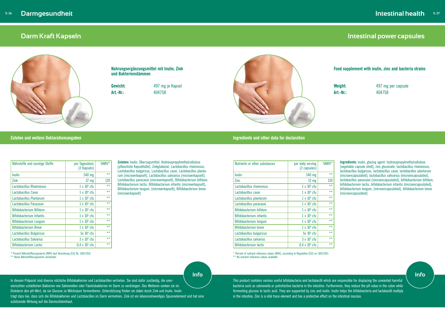#### **Zutaten und weitere Deklarationsangaben Ingredients and other data for declaration**

# **Darm Kraft Kapseln**



**Zutaten:** Inulin, Überzugsmittel: Hydroxypropylmethylcellulose (pflanzliche Kapselhülle), Zinkglukonat, Lactobacillus rhamnosus, Lactobacillus bulgaricus, Lactobacillus casei, Lactobacillus plantarum (microverkapselt), Lactobacillus salivarius (microverkapselt), Lactobacillus paracasei (microverkapselt), Bifidobacterium bifidum, Bifidobacterium lactis, Bifidobacterium infantis (microverkapselt), Bifidobacterium longum, (microverkapselt), Bifidobacterium breve (microverkapselt)

| Nährstoffe und sonstige Stoffe  | pro Tagesdosis<br>(2 Kapseln) | $%$ NRV $*$ |
|---------------------------------|-------------------------------|-------------|
| Inulin                          | 540 mg                        | $***$       |
| Zink                            | $12 \text{ mg}$               | 120         |
| Lactobacillus Rhamnosus         | $1 \times 10^9$ cfu           | $***$       |
| Lactobacillus Casei             | $1 \times 10^9$ cfu           | $***$       |
| Lactobacillus Plantarum         | $1 \times 10^9$ cfu           | $***$       |
| Lactobacillus Paracasei         | $1 \times 10^9$ cfu           | $***$       |
| Bifidobacterium Bifidum         | $1 \times 10^9$ cfu           | $***$       |
| <b>Bifidobacterium Infantis</b> | $1 \times 10^9$ cfu           | $***$       |
| <b>Bifidobacterium Longum</b>   | $1 \times 10^9$ cfu           | $***$       |
| <b>Bifidobacterium Breve</b>    | $1 \times 10^9$ cfu           | $***$       |
| Lactobacillus Bulgaricus        | $5x 10^9$ cfu                 | $***$       |
| Lactobacillus Salvarius         | $3 \times 10^9$ cfu           | $***$       |
| Bifidobacterium Lactis          | $0.4 \times 10^9$ cfu         | $***$       |

\* Percent of nutrient reference values (NRV), according to Regulation (EU) no 1169/2011 \*\* No nutrient reference values available

| Nutrients or other substances   | per daily serving<br>(2 capsules) | $%$ NRV $*$ |
|---------------------------------|-----------------------------------|-------------|
| Inulin                          | 540 mg                            | $***$       |
| <b>Zinc</b>                     | $12 \text{ mg}$                   | 120         |
| Lactobacillus rhamnosus         | $1 \times 10^9$ cfu               | $**$        |
| Lactobacillus casei             | $1 \times 10^9$ cfu               | $***$       |
| Lactobacillus plantarum         | $1 \times 10^9$ cfu               | $***$       |
| Lactobacillus paracasei         | $1 \times 10^9$ cfu               | $***$       |
| Bifidobacterium bifidum         | $1 \times 10^9$ cfu               | $***$       |
| <b>Bifidobacterium infantis</b> | $1 \times 10^9$ cfu               | $***$       |
| Bifidobacterium longum          | $1 \times 10^9$ cfu               | $***$       |
| Bifidobacterium breve           | $1 \times 10^9$ cfu               | $***$       |
| Lactobacillus bulgaricus        | $5x 10^9$ cfu                     | $***$       |
| Lactobacillus salvarius         | $3 \times 10^9$ cfu               | $***$       |
| Bifidobacterium lactis          | $0.4 \times 10^9$ cfu             | $**$        |

\* Prozent Nährstoffbezugswerte (NRV) laut Verordnung (EU) Nr. 1169/2011

\*\* Keine Nährstoffbezugswerte vorhanden

**Nahrungsergänzungsmittel mit Inulin, Zink und Bakterienstämmen**

**Gewicht:** 497 mg je Kapsel

**Art.-Nr.:** 404758



# **Intestinal power capsules**

**Food supplement with inulin, zinc and bacteria strains**

**Weight:** 497 mg per capsule **Art.-Nr.:** 404758

**Ingredients:** inulin, glacing agent: hydroxypropylmethylcellulose (vegetable capsule shell), zinc gluconate, lactobacillus rhamnosus, lactobacillus bulgaricus, lactobacillus casei, lactobacillus plantarum (microencapsulated), lactobacillus salivarius (microencapsulated), lactobacillus paracasei (microencapsulated), bifidobacterium bifidum, bifidobacterium lactis, bifidobacterium infantis (microencapsulated), bifidobacterium longum, (microencapsulated), bifidobacterium breve (microencapsulated)

In diesem Präparat sind diverse nützliche Bifidobakterien und Lactobacillen vertreten. Sie sind dafür zuständig, die unerwünschten schädlichen Bakterien wie Salmonellen oder Fäulnisbakterien im Darm zu verdrängen. Des Weiteren senken sie im Dickdarm den pH-Wert, da sie Glucose zu Milchsäure fermentieren. Unterstützung finden sie dabei durch Zink und Inulin. Inulin trägt dazu bei, dass sich die Bifidobakterien und Lactobacillen im Darm vermehren. Zink ist ein lebensnotwendiges Spurenelement und hat eine schützende Wirkung auf die Darmschleimhaut.

This product contains various useful bifidobacteria and lactobacilli which are responsible for displacing the unwanted harmful bacteria such as salmonella or putrefactive bacteria in the intestine. Furthermore, they reduce the pH value in the colon while fermenting glucose to lactic acid. They are supported by zinc and inulin. Inulin helps the bifidobacteria and lactobacilli multiply in the intestine. Zinc is a vital trace element and has a protective effect on the intestinal mucosa.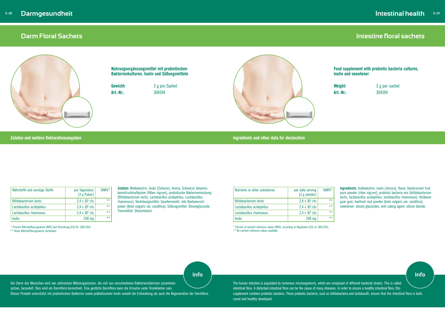## **Darm Floral Sachets**



**Zutaten:** Maltodextrin, Inulin (Zichorie), Aroma, Schwarze Johannisbeerefruchtsaftpulver (Ribes nigrum), probiotische Bakterienmischung (Bifidobacterium lactis, Lactobacillus acidophilus, Lactobacillus rhamnosus), Verdickungsmittel: Guarkernmehl, rote Beetewurzelpulver (Beta vulgaris var. conditiva), Süßungsmittel: Steviolglycoside, Trennmittel: Siliziumdoxid

| Nährstoffe und sonstige Stoffe | pro Tagesdosis<br>(3 g Pulver) | $%$ NRV* |
|--------------------------------|--------------------------------|----------|
| <b>Bifidobacterium lactis</b>  | $2,4 \times 10^9$ cfu          | $***$    |
| Lactobacillus acidophilus      | $2,4 \times 10^9$ cfu          | $***$    |
| Lactobacillus rhamnosus        | $2,4 \times 10^9$ cfu          | $***$    |
| Inulin                         | 248 mg                         | $***$    |

| Nutrients or other substances | per daily serving<br>$(3 g)$ powder) | $%$ NRV* |
|-------------------------------|--------------------------------------|----------|
| Bifidobacterium lactis        | $2,4 \times 10^{9}$ cfu              | $**$     |
| Lactobacillus acidophilus     | $2,4 \times 10^{9}$ cfu              | $***$    |
| Lactobacillus rhamnosus       | $2,4 \times 10^{9}$ cfu              | $***$    |
| Inulin                        | 248 mg                               | $***$    |

\* Percent of nutrient reference values (NRV), according to Regulation (EU) no 1169/2011 \*\* No nutrient reference values available

\* Prozent Nährstoffbezugswerte (NRV) laut Verordnung (EU) Nr. 1169/2011 \*\* Keine Nährstoffbezugswerte vorhanden

**Nahrungsergänzungsmittel mit probiotischen Bakterienkulturen, Inulin und Süßungsmitteln**

**Gewicht:** 3 g pro Sachet **Art.-Nr.:** 304194



**Zutaten und weitere Deklarationsangaben** 

|  |  | <u>Illyfeuleird allu builet uala for ueclafallo</u> |
|--|--|-----------------------------------------------------|
|  |  |                                                     |

# **Intestine floral sachets**

**Food supplement with probiotic bacteria cultures, inulin and sweetener**

**Weight:** 3 g per sachet **Art.-Nr.:** 304194

**Ingredients:** maltodextrin, inulin (chicory), flavor, blackcurrant fruit juice powder (ribes nigrum), probiotic bacteria mix (bifidobacterium lactis, lactobacillus acidophilus, lactobacillus rhamnosus), thickener: guar gum, beetroot root powder (beta vulgaris var. conditiva), sweetener: steviol glycosides, anti-caking agent: silicon dioxide

Der Darm des Menschen wird von zahlreichen Mikroorganismen, die sich aus verschiedenen Bakterienstämmen zusammensetzen, besiedelt. Dies wird als Darmflora bezeichnet. Eine gestörte Darmflora kann die Ursache vieler Krankheiten sein.

Dieses Produkt unterstützt mit probiotischen Bakterien sowie präbiotischem Inulin sowohl die Entwicklung als auch die Regeneration der Darmflora.

The human intestine is populated by numerous microorganisms, which are composed of different bacterial strains. This is called intestinal flora. A disturbed intestinal flora can be the cause of many diseases. In order to ensure a healthy intestinal flora, this supplement contains probiotic bacteria. These probiotic bacteria, such as bifidobacteria and lactobacilli, ensure that the intestinal flora is both, cured and healthy developed.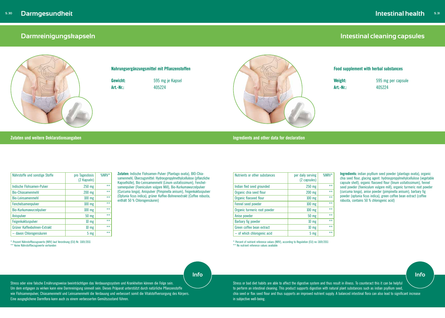#### **Zutaten und weitere Deklarationsangaben Ingredients and other data for declaration**

## **Darmreinigungskapseln**



**Zutaten:** Indische Flohsamen-Pulver (Plantago ovata), BIO-Chiasamenmehl, Überzugsmittel: Hydroxypropylmethylcellulose (pflanzliche Kapselhülle), Bio-Leinsamenmehl (Linum usitatissimum), Fenchelsamenpulver (Foeniculum vulgare Mill), Bio-Kurkumawurzelpulver (Curcuma longa), Anispulver (Pimpinella anisum), Feigenkaktuspulver (Optunia ficus indica), grüner Kaffee-Bohnenextrakt (Coffee robusta, enthält 50 % Chlorogensäuren)

| Nährstoffe und sonstige Stoffe | pro Tagesdosis<br>(2 Kapseln) | %NRV* |
|--------------------------------|-------------------------------|-------|
| Indische Flohsamen-Pulver      | 250 mg                        | $***$ |
| <b>Bio-Chiasamenmehl</b>       | 200 mg                        | $**$  |
| <b>Bio-Leinsamenmehl</b>       | $100$ mg                      | $**$  |
| Fenchelsamenpulver             | $100$ mg                      | $**$  |
| Bio-Kurkumawurzelpulver        | $100$ mg                      | $***$ |
| <b>Anispulver</b>              | 50 mg                         | $***$ |
| Feigenkaktuspulver             | $10 \text{ mg}$               | $***$ |
| Grüner Kaffeebohnen-Extrakt    | $10 \text{ mg}$               | $***$ |
| - davon Chlorogensäuren        | 5 <sub>mg</sub>               | $***$ |

**Weight:** 595 mg per capsule **Art.-Nr.:** 405224

\* Prozent Nährstoffbezugswerte (NRV) laut Verordnung (EU) Nr. 1169/2011 \*\* Keine Nährstoffbezugswerte vorhanden

\* Percent of nutrient reference values (NRV), according to Regulation (EU) no 1169/2011 \*\* No nutrient reference values available

### **Nahrungsergänzungsmittel mit Pflanzenstoffen**

**Gewicht:** 595 mg je Kapsel



**Art.-Nr.:** 405224

| Nutrients or other substances | per daily serving<br>(2 capsules) | %NRV* |
|-------------------------------|-----------------------------------|-------|
| Indian fled seed grounded     | 250 mg                            | $***$ |
| Organic chia seed flour       | 200 mg                            | $***$ |
| Organic flaxseed flour        | $100$ mg                          | $***$ |
| Fennel seed powder            | $100$ mg                          | $***$ |
| Organic turmeric root powder  | $100$ mg                          | $***$ |
| Anise powder                  | 50 mg                             | $***$ |
| Barbary fig powder            | $10 \, \text{mg}$                 | $***$ |
| Green coffee bean extract     | $10 \, \text{mg}$                 | $***$ |
| - of which chlorogenic acid   | 5 <sub>mg</sub>                   | $***$ |

# **Intestinal cleaning capsules**

#### **Food supplement with herbal substances**

**Ingredients:** indian psyllium seed powder (plantago ovata), organic chia seed flour, glacing agent: hydroxypropylmehylcellulose (vegetable capsule shell), organic flaxseed flour (linum usitatissimum), fennel seed powder (foeniculum vulgare mill), organic turmeric root powder (curcuma longa), anise powder (pimpinella anisum), barbary fig powder (optunia ficus indica), green coffee bean extract (coffee robusta, contains 50 % chlorogenic acid)

Stress oder eine falsche Ernährungsweise beeinträchtigen das Verdauungssystem und Krankheiten können die Folge sein. Um dem entgegen zu wirken kann eine Darmreinigung sinnvoll sein. Dieses Präparat unterstützt durch natürliche Pflanzenstoffe wie Flohsamenpulver, Chiasamenmehl und Leinsamenmehl die Verdauung und verbessert somit die Vitalstoffversorgung des Körpers. Eine ausgeglichene Darmflora kann auch zu einem verbesserten Gemütszustand führen.

Stress or bad diet habits are able to affect the digestive system and thus result in illness. To counteract this it can be helpful to perform an intestinal cleaning. This product supports digestion with natural plant substances such as indian psyllium seed, chia seed or flax seed flour and thus supports an improved nutrient supply. A balanced intestinal flora can also lead to significant increase in subjective well-being.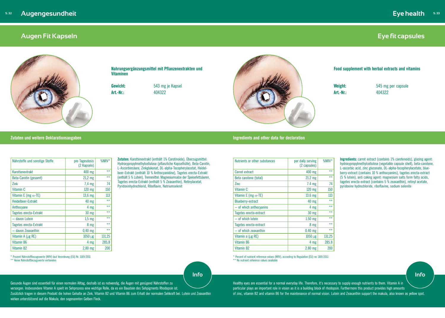#### **Zutaten und weitere Deklarationsangaben Ingredients and other data for declaration**

## **Augen Fit Kapseln**



**Zutaten:** Karottenextrakt (enthält 1% Carotinoide), Überzugsmittel: Hydroxypropylmethylcellulose (pflanzliche Kapselhülle), Beta-Carotin, L-Ascorbinsäure, Zinkglukonat, DL-alpha-Tocopherylacetat, Heidelbeer-Extrakt (enthält 10 % Anthocyanidine), Tagetes erecta-Extrakt (enthält 5 % Lutein), Trennmittel: Magnesiumsalze der Speisefettsäuren, Tagetes erecta-Extrakt (enthält 5 % Zeaxanthin), Retinylacetat, Pyridoxinhydrochlorid, Riboflavin, Natriumselenit

| Nährstoffe und sonstige Stoffe | pro Tagesdosis<br>(2 Kapseln) | $%$ NRV $*$ |
|--------------------------------|-------------------------------|-------------|
| Karottenextrakt                | 400 mg                        | $***$       |
| Beta-Carotin (gesamt)          | $21,2$ mg                     | $***$       |
| Zink                           | $7.4 \text{ mg}$              | 74          |
| Vitamin C                      | $120$ mg                      | 150         |
| Vitamin E (mg $\alpha$ -TE)    | $13,6$ mg                     | 113         |
| <b>Heidelbeer-Extrakt</b>      | $40$ mg                       | $***$       |
| Anthocyane                     | 4 mg                          | $***$       |
| Tagetes erecta-Extrakt         | $30$ mg                       | $***$       |
| - davon Lutein                 | $1,5$ mg                      | $***$       |
| Tagetes erecta-Extrakt         | 8 mg                          | $***$       |
| - davon Zeaxanthin             | $0,40$ mg                     | $***$       |
| Vitamin A ( $\mu$ g RE)        | $1050 \mu g$                  | 131,25      |
| Vitamin B6                     | 4 mg                          | 285,8       |
| Vitamin B2                     | $2,80$ mg                     | 200         |

\* Prozent Nährstoffbezugswerte (NRV) laut Verordnung (EU) Nr. 1169/2011 \*\* Keine Nährstoffbezugswerte vorhanden

**Nahrungsergänzungsmittel mit Pflanzenextrakten und Vitaminen**

**Gewicht:** 543 mg je Kapsel

**Art.-Nr.:** 404322



# **Eye fit capsules**

#### **Food supplement with herbal extracts and vitamins**

**Weight:** 545 mg per capsule **Art.-Nr.:** 404322

**Ingredients:** carrot extract (contains 1% carotenoids), glazing agent: hydroxypropylmethylcellulose (vegetable capsule shell), beta-carotene, L-ascorbic acid, zinc gluconate, DL-alpha-tocopherylacetate, blueberry-extract (contains 10 % anthocyanins), tagetes erecta-extract (5 % lutein), anti caking agent: magnesium salts form fatty acids, tagetes erecta-extract (contains 5 % zeaxanthin), retinyl acetate, pyridoxine hydrochloride, riboflavine, sodium selenite

\* Percent of nutrient reference values (NRV), according to Regulation (EU) no 1169/2011

\*\* No nutrient reference values available

| Nutrients or other substances | per daily serving<br>(2 capsules) | %NRV*  |
|-------------------------------|-----------------------------------|--------|
| Carrot extract                | 400 mg                            | $***$  |
| Beta carotene (total)         | $21.2 \text{ mg}$                 | $***$  |
| Zinc                          | $7.4 \text{ mg}$                  | 74     |
| Vitamin C                     | 120 mg                            | 150    |
| Vitamin E (mg $\alpha$ -TE)   | $13.6$ mg                         | 113    |
| <b>Blueberry-extract</b>      | 40 mg                             | $***$  |
| $-$ of which anthocyanins     | 4 mg                              | $***$  |
| Tagetes erecta-extract        | 30 mg                             | $***$  |
| - of which lutein             | $1.50$ mg                         | $***$  |
| Tagetes erecta-extract        | 8 mg                              | $***$  |
| - of which zeaxanthin         | $0.40$ mg                         | $***$  |
| Vitamin a (µg RE)             | $1050 \mu g$                      | 131.25 |
| Vitamin B6                    | 4 mg                              | 285.8  |
| Vitamin B2                    | $2.80$ mg                         | 200    |

Gesunde Augen sind essentiell für einen normalen Alltag, deshalb ist es notwendig, die Augen mit genügend Nährstoffen zu versorgen. Insbesondere Vitamin A spielt im Sehprozess eine wichtige Rolle, da es ein Baustein des Sehpigments Rhodopsin ist. Zusätzlich tragen in diesem Produkt die hohen Gehalte an Zink, Vitamin B2 und Vitamin B6 zum Erhalt der normalen Sehkraft bei. Lutein und Zeaxanthin wirken unterstützend auf die Makula, den sogenannten Gelben Fleck.

Healthy eyes are essential for a normal everyday life. Therefore, it's necessary to supply enough nutrients to them. Vitamin A in particular plays an important role in vision as it is a building block of rhodopsin. Furthermore this product provides high amounts of zinc, vitamin B2 and vitamin B6 for the maintenance of normal vision. Lutein and Zeaxanthin support the makula, also known as yellow spot.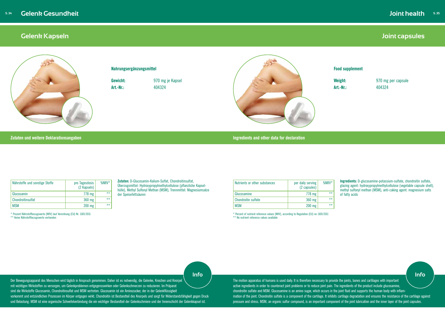#### **Zutaten und weitere Deklarationsangaben Ingredients and other data for declaration**

## **Gelenk Kapseln**



#### **Nahrungsergänzungsmittel**

**Gewicht:** 970 mg je Kapsel



**Art.-Nr.:** 404324

# **Joint capsules**

### **Food supplement**

\* Percent of nutrient reference values (NRV), according to Regulation (EU) no 1169/2011 \*\* No nutrient reference values available

**Weight:** 970 mg per capsule **Art.-Nr.:** 404324

**Ingredients:** D-glucosamine-potassium-sulfate, chondroitin sulfate, glazing agent: hydroxypropylmethylcellulose (vegetable capsule shell), methyl sulfonyl methan (MSM), anti-caking agent: magnesium salts of fatty acids

**Zutaten:** D-Glucosamin-Kalium-Sulfat, Chondroitinsulfat, Überzugsmittel: Hydroxypropylmethylcellulose (pflanzliche Kapselhülle), Methyl Sulfonyl Methan (MSM), Trennmittel: Magnesiumsalze der Speisefettsäuren

| Nährstoffe und sonstige Stoffe | pro Tagesdosis<br>(2 Kapseln) | $%$ NRV* |
|--------------------------------|-------------------------------|----------|
| Glucosamin                     | 778 mg                        | $***$    |
| Chondroitinsulfat              | 360 mg                        | $***$    |
| <b>MSM</b>                     | $200$ mg                      | $***$    |

Der Bewegungsapparat des Menschen wird täglich in Anspruch genommen. Daher ist es notwendig, die Gelenke, Knochen und Knorpel mit wichtigen Wirkstoffen zu versorgen, um Gelenkproblemen entgegenzuwirken oder Gelenkschmerzen zu reduzieren. Im Präparat sind die Wirkstoffe Glucosamin, Chondroitinsulfat und MSM vertreten. Glucosamin ist ein Aminozucker, der in der Gelenkflüssigkeit vorkommt und entzündlichen Prozessen im Körper entgegen wirkt. Chondroitin ist Bestandteil des Knorpels und sorgt für Widerstandsfähigkeit gegen Druck und Belastung. MSM ist eine organische Schwefelverbindung die ein wichtiger Bestandteil der Gelenkschmiere und der Innenschicht der Gelenkkapsel ist.

\* Prozent Nährstoffbezugswerte (NRV) laut Verordnung (EU) Nr. 1169/2011 \*\* Keine Nährstoffbezugswerte vorhanden

| Nutrients or other substances | per daily serving<br>(2 capsules) | $%$ NRV* |
|-------------------------------|-----------------------------------|----------|
| Glucosamine                   | 778 mg                            | $***$    |
| <b>Chondroitin sulfate</b>    | 360 mg                            | $***$    |
| <b>MSM</b>                    | $200$ mg                          | $***$    |

The motion apparatus of humans is used daily. It is therefore necessary to provide the joints, bones and cartilages with important active ingredients in order to counteract joint problems or to reduce joint pain. The ingredients of the product include glucosamine, chondroitin sulfate and MSM. Glucosamine is an amino sugar, which occurs in the joint fluid and supports the human body with inflammation of the joint. Chondroitin sulfate is a component of the cartilage. It inhibits cartilage degradation and ensures the resistance of the cartilage against pressure and stress. MSM, an organic sulfur compound, is an important component of the joint lubrication and the inner layer of the joint capsules.